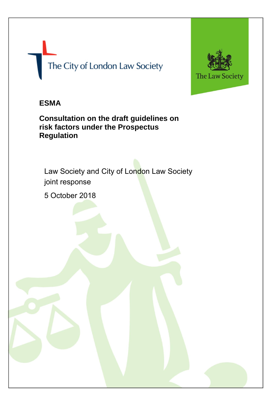# The City of London Law Society

- 2 -



# **ESMA**

**Consultation on the draft guidelines on risk factors under the Prospectus Regulation** 

Law Society and City of London Law Society joint response

5 October 2018